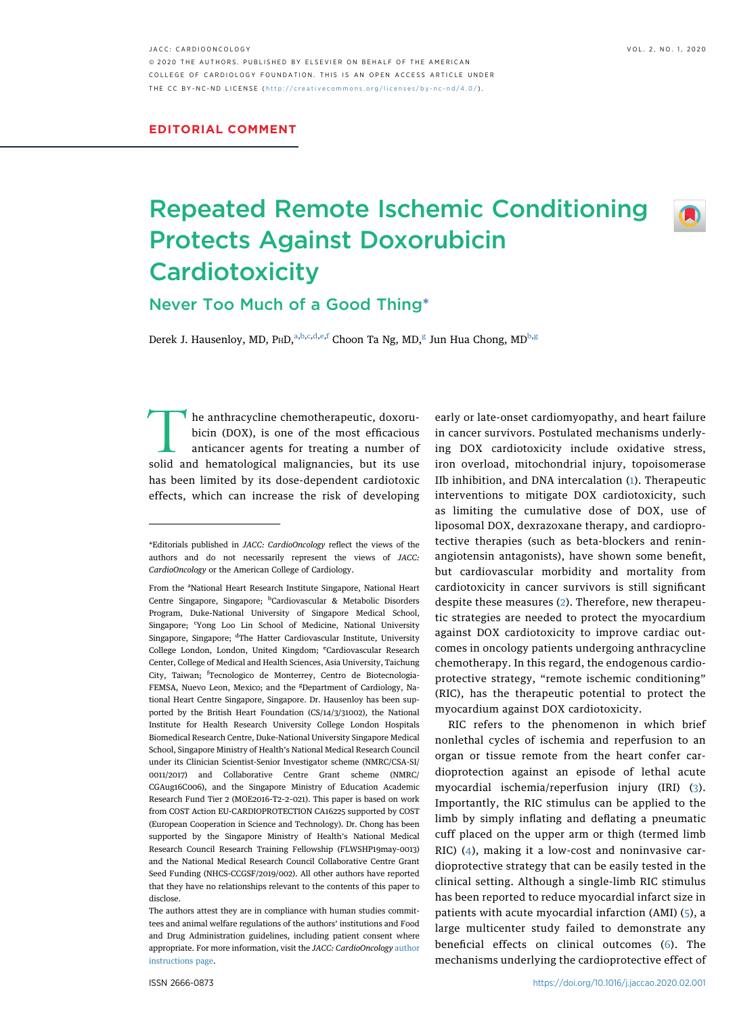$\left( \blacksquare \right)$ 

JACC: CARDIOONCOLOGY VOL. 2, NO. 1, 2020 ª 2020 THE AUTHORS. PUBLISHED BY ELSEVIER ON BEHALF OF THE AMERICAN COLLEGE OF CARDIOLOGY FOUNDATION. THIS IS AN OPEN ACCESS ARTICLE UNDER THE CC BY-NC-ND LICENSE ( http://creativecommons.o [rg/licenses/by-nc-nd/4.0/](http://creativecommons.org/licenses/by-nc-nd/4.0/) ) .

## Repeated Remote Ischemic Conditioning Protects Against Doxorubicin **Cardiotoxicity**

## Never Too Much of a Good Thin[g\\*](#page-0-0)

Derek J. H[a](#page-0-1)usenloy, MD, PHD,<sup>a,[b](#page-0-2)[,c,](#page-0-3)[d](#page-0-4),[e](#page-0-5),[f](#page-0-6)</sup> Choon Ta N[g](#page-0-7), MD,<sup>g</sup> Jun Hua Chong, MD<sup>b,g</sup>

he anthracycline chemotherapeutic, doxorubicin (DOX), is one of the most efficacious anticancer agents for treating a number of solid and hematological malignancies, but its use has been limited by its dose-dependent cardiotoxic effects, which can increase the risk of developing

early or late-onset cardiomyopathy, and heart failure in cancer survivors. Postulated mechanisms underlying DOX cardiotoxicity include oxidative stress, iron overload, mitochondrial injury, topoisomerase IIb inhibition, and DNA intercalation ([1\)](#page-2-0). Therapeutic interventions to mitigate DOX cardiotoxicity, such as limiting the cumulative dose of DOX, use of liposomal DOX, dexrazoxane therapy, and cardioprotective therapies (such as beta-blockers and reninangiotensin antagonists), have shown some benefit, but cardiovascular morbidity and mortality from cardiotoxicity in cancer survivors is still significant despite these measures ([2](#page-2-1)). Therefore, new therapeutic strategies are needed to protect the myocardium against DOX cardiotoxicity to improve cardiac outcomes in oncology patients undergoing anthracycline chemotherapy. In this regard, the endogenous cardioprotective strategy, "remote ischemic conditioning" (RIC), has the therapeutic potential to protect the myocardium against DOX cardiotoxicity.

RIC refers to the phenomenon in which brief nonlethal cycles of ischemia and reperfusion to an organ or tissue remote from the heart confer cardioprotection against an episode of lethal acute myocardial ischemia/reperfusion injury (IRI) [\(3\)](#page-2-2). Importantly, the RIC stimulus can be applied to the limb by simply inflating and deflating a pneumatic cuff placed on the upper arm or thigh (termed limb RIC) ([4\)](#page-2-3), making it a low-cost and noninvasive cardioprotective strategy that can be easily tested in the clinical setting. Although a single-limb RIC stimulus has been reported to reduce myocardial infarct size in patients with acute myocardial infarction (AMI) ([5\)](#page-2-4), a large multicenter study failed to demonstrate any beneficial effects on clinical outcomes ([6](#page-2-5)). The mechanisms underlying the cardioprotective effect of

<span id="page-0-0"></span><sup>\*</sup>Editorials published in JACC: CardioOncology reflect the views of the authors and do not necessarily represent the views of JACC: CardioOncology or the American College of Cardiology.

<span id="page-0-7"></span><span id="page-0-6"></span><span id="page-0-5"></span><span id="page-0-4"></span><span id="page-0-3"></span><span id="page-0-2"></span><span id="page-0-1"></span>From the <sup>a</sup>National Heart Research Institute Singapore, National Heart Centre Singapore, Singapore; <sup>b</sup>Cardiovascular & Metabolic Disorders Program, Duke-National University of Singapore Medical School, Singapore; <sup>c</sup>Yong Loo Lin School of Medicine, National University Singapore, Singapore; <sup>d</sup>The Hatter Cardiovascular Institute, University College London, London, United Kingdom; <sup>e</sup>Cardiovascular Research Center, College of Medical and Health Sciences, Asia University, Taichung City, Taiwan; <sup>f</sup>Tecnologico de Monterrey, Centro de Biotecnologia-FEMSA, Nuevo Leon, Mexico; and the <sup>g</sup>Department of Cardiology, National Heart Centre Singapore, Singapore. Dr. Hausenloy has been supported by the British Heart Foundation (CS/14/3/31002), the National Institute for Health Research University College London Hospitals Biomedical Research Centre, Duke-National University Singapore Medical School, Singapore Ministry of Health's National Medical Research Council under its Clinician Scientist-Senior Investigator scheme (NMRC/CSA-SI/ 0011/2017) and Collaborative Centre Grant scheme (NMRC/ CGAug16C006), and the Singapore Ministry of Education Academic Research Fund Tier 2 (MOE2016-T2–2–021). This paper is based on work from COST Action EU-CARDIOPROTECTION CA16225 supported by COST (European Cooperation in Science and Technology). Dr. Chong has been supported by the Singapore Ministry of Health's National Medical Research Council Research Training Fellowship (FLWSHP19may-0013) and the National Medical Research Council Collaborative Centre Grant Seed Funding (NHCS-CCGSF/2019/002). All other authors have reported that they have no relationships relevant to the contents of this paper to disclose.

The authors attest they are in compliance with human studies committees and animal welfare regulations of the authors' institutions and Food and Drug Administration guidelines, including patient consent where appropriate. For more information, visit the JACC: CardioOncology [author](https://www.jaccsubmit-cardiooncology.org/cgi-bin/main.plex?form_type=display_auth_instructions) [instructions page.](https://www.jaccsubmit-cardiooncology.org/cgi-bin/main.plex?form_type=display_auth_instructions)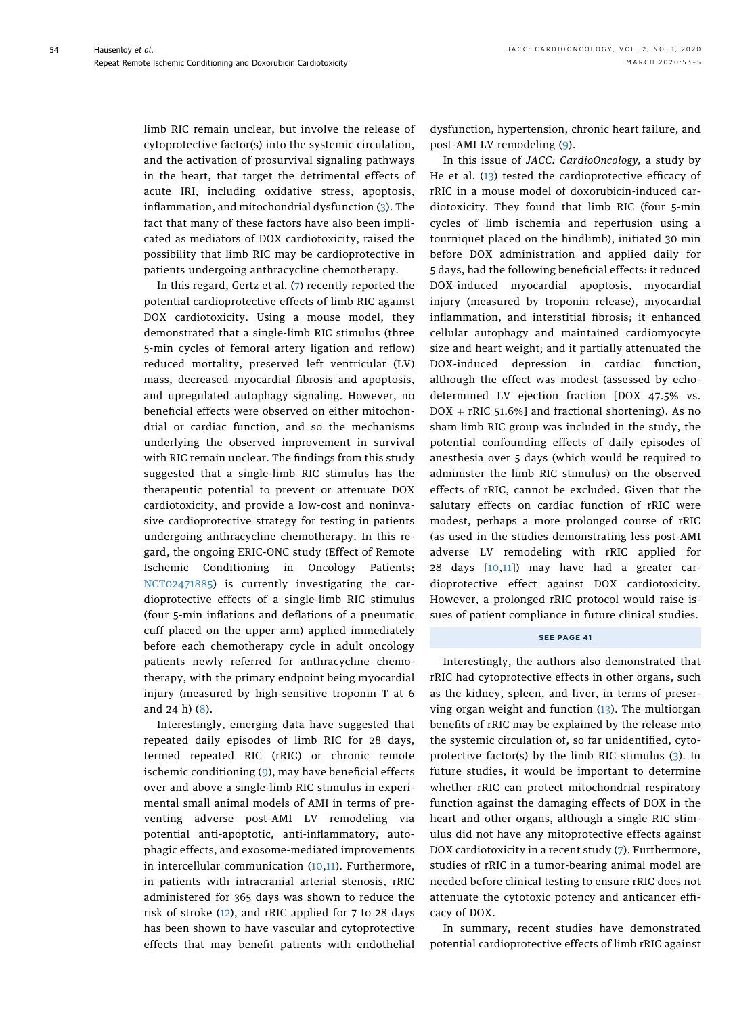limb RIC remain unclear, but involve the release of cytoprotective factor(s) into the systemic circulation, and the activation of prosurvival signaling pathways in the heart, that target the detrimental effects of acute IRI, including oxidative stress, apoptosis, inflammation, and mitochondrial dysfunction ([3](#page-2-2)). The fact that many of these factors have also been implicated as mediators of DOX cardiotoxicity, raised the possibility that limb RIC may be cardioprotective in patients undergoing anthracycline chemotherapy.

In this regard, Gertz et al. ([7\)](#page-2-6) recently reported the potential cardioprotective effects of limb RIC against DOX cardiotoxicity. Using a mouse model, they demonstrated that a single-limb RIC stimulus (three 5-min cycles of femoral artery ligation and reflow) reduced mortality, preserved left ventricular (LV) mass, decreased myocardial fibrosis and apoptosis, and upregulated autophagy signaling. However, no beneficial effects were observed on either mitochondrial or cardiac function, and so the mechanisms underlying the observed improvement in survival with RIC remain unclear. The findings from this study suggested that a single-limb RIC stimulus has the therapeutic potential to prevent or attenuate DOX cardiotoxicity, and provide a low-cost and noninvasive cardioprotective strategy for testing in patients undergoing anthracycline chemotherapy. In this regard, the ongoing ERIC-ONC study (Effect of Remote Ischemic Conditioning in Oncology Patients; [NCT02471885](https://clinicaltrials.gov/ct2/show/NCT02471885)) is currently investigating the cardioprotective effects of a single-limb RIC stimulus (four 5-min inflations and deflations of a pneumatic cuff placed on the upper arm) applied immediately before each chemotherapy cycle in adult oncology patients newly referred for anthracycline chemotherapy, with the primary endpoint being myocardial injury (measured by high-sensitive troponin T at 6 and 24 h) ([8\)](#page-2-7).

Interestingly, emerging data have suggested that repeated daily episodes of limb RIC for 28 days, termed repeated RIC (rRIC) or chronic remote ischemic conditioning ([9\)](#page-2-8), may have beneficial effects over and above a single-limb RIC stimulus in experimental small animal models of AMI in terms of preventing adverse post-AMI LV remodeling via potential anti-apoptotic, anti-inflammatory, autophagic effects, and exosome-mediated improvements in intercellular communication ([10](#page-2-9),[11\)](#page-2-10). Furthermore, in patients with intracranial arterial stenosis, rRIC administered for 365 days was shown to reduce the risk of stroke ([12\)](#page-2-11), and rRIC applied for 7 to 28 days has been shown to have vascular and cytoprotective effects that may benefit patients with endothelial dysfunction, hypertension, chronic heart failure, and post-AMI LV remodeling ([9\)](#page-2-8).

In this issue of JACC: CardioOncology, a study by He et al. ([13\)](#page-2-12) tested the cardioprotective efficacy of rRIC in a mouse model of doxorubicin-induced cardiotoxicity. They found that limb RIC (four 5-min cycles of limb ischemia and reperfusion using a tourniquet placed on the hindlimb), initiated 30 min before DOX administration and applied daily for 5 days, had the following beneficial effects: it reduced DOX-induced myocardial apoptosis, myocardial injury (measured by troponin release), myocardial inflammation, and interstitial fibrosis; it enhanced cellular autophagy and maintained cardiomyocyte size and heart weight; and it partially attenuated the DOX-induced depression in cardiac function, although the effect was modest (assessed by echodetermined LV ejection fraction [DOX 47.5% vs.  $DOX + rRIC$  51.6%] and fractional shortening). As no sham limb RIC group was included in the study, the potential confounding effects of daily episodes of anesthesia over 5 days (which would be required to administer the limb RIC stimulus) on the observed effects of rRIC, cannot be excluded. Given that the salutary effects on cardiac function of rRIC were modest, perhaps a more prolonged course of rRIC (as used in the studies demonstrating less post-AMI adverse LV remodeling with rRIC applied for 28 days [[10,](#page-2-9)[11](#page-2-10)]) may have had a greater cardioprotective effect against DOX cardiotoxicity. However, a prolonged rRIC protocol would raise issues of patient compliance in future clinical studies.

## SEE PAGE 41

Interestingly, the authors also demonstrated that rRIC had cytoprotective effects in other organs, such as the kidney, spleen, and liver, in terms of preserving organ weight and function ([13\)](#page-2-12). The multiorgan benefits of rRIC may be explained by the release into the systemic circulation of, so far unidentified, cytoprotective factor(s) by the limb RIC stimulus ([3](#page-2-2)). In future studies, it would be important to determine whether rRIC can protect mitochondrial respiratory function against the damaging effects of DOX in the heart and other organs, although a single RIC stimulus did not have any mitoprotective effects against DOX cardiotoxicity in a recent study ([7](#page-2-6)). Furthermore, studies of rRIC in a tumor-bearing animal model are needed before clinical testing to ensure rRIC does not attenuate the cytotoxic potency and anticancer efficacy of DOX.

In summary, recent studies have demonstrated potential cardioprotective effects of limb rRIC against